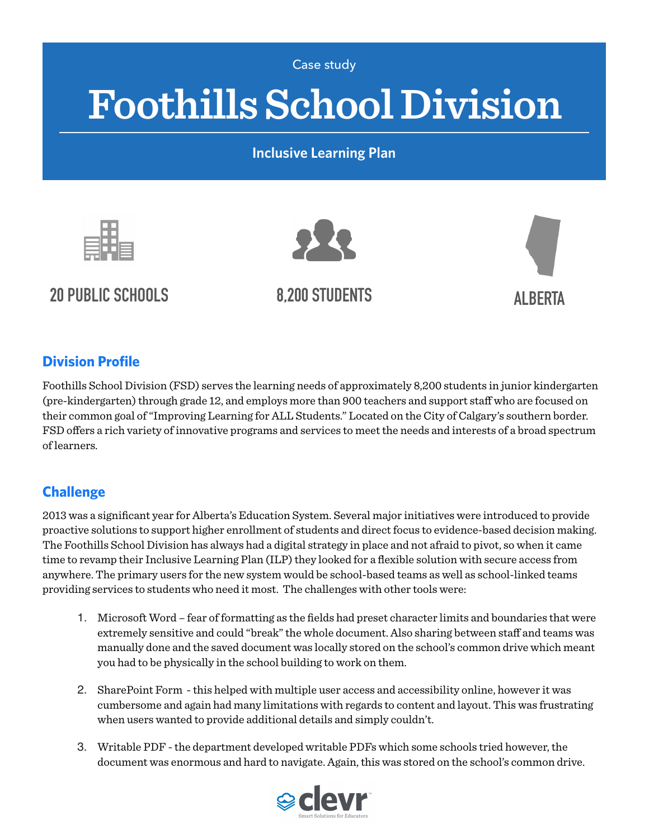Case study

# **Foothills School Division**

**Inclusive Learning Plan**



**20 PUBLIC SCHOOLS 8,200 STUDENTS ALBERTA**





#### **Division Profile**

Foothills School Division (FSD) serves the learning needs of approximately 8,200 students in junior kindergarten (pre-kindergarten) through grade 12, and employs more than 900 teachers and support staff who are focused on their common goal of "Improving Learning for ALL Students." Located on the City of Calgary's southern border. FSD offers a rich variety of innovative programs and services to meet the needs and interests of a broad spectrum of learners.

### **Challenge**

2013 was a significant year for Alberta's Education System. Several major initiatives were introduced to provide proactive solutions to support higher enrollment of students and direct focus to evidence-based decision making. The Foothills School Division has always had a digital strategy in place and not afraid to pivot, so when it came time to revamp their Inclusive Learning Plan (ILP) they looked for a flexible solution with secure access from anywhere. The primary users for the new system would be school-based teams as well as school-linked teams providing services to students who need it most. The challenges with other tools were:

- 1. Microsoft Word fear of formatting as the fields had preset character limits and boundaries that were extremely sensitive and could "break" the whole document. Also sharing between staff and teams was manually done and the saved document was locally stored on the school's common drive which meant you had to be physically in the school building to work on them.
- 2. SharePoint Form this helped with multiple user access and accessibility online, however it was cumbersome and again had many limitations with regards to content and layout. This was frustrating when users wanted to provide additional details and simply couldn't.
- 3. Writable PDF the department developed writable PDFs which some schools tried however, the document was enormous and hard to navigate. Again, this was stored on the school's common drive.

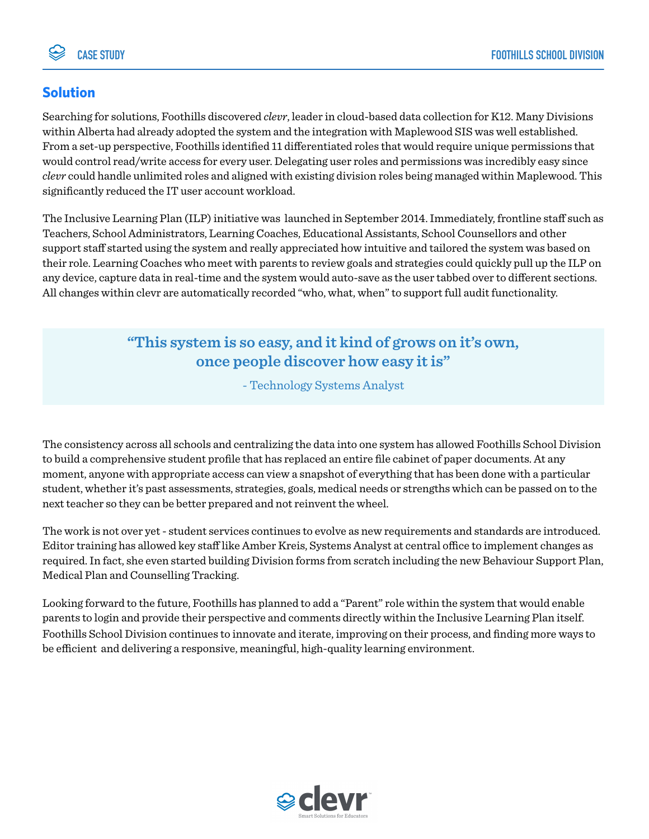#### **Solution**

Searching for solutions, Foothills discovered *clevr*, leader in cloud-based data collection for K12. Many Divisions within Alberta had already adopted the system and the integration with Maplewood SIS was well established. From a set-up perspective, Foothills identified 11 differentiated roles that would require unique permissions that would control read/write access for every user. Delegating user roles and permissions was incredibly easy since *clevr* could handle unlimited roles and aligned with existing division roles being managed within Maplewood. This significantly reduced the IT user account workload.

The Inclusive Learning Plan (ILP) initiative was launched in September 2014. Immediately, frontline staff such as Teachers, School Administrators, Learning Coaches, Educational Assistants, School Counsellors and other support staff started using the system and really appreciated how intuitive and tailored the system was based on their role. Learning Coaches who meet with parents to review goals and strategies could quickly pull up the ILP on any device, capture data in real-time and the system would auto-save as the user tabbed over to different sections. All changes within clevr are automatically recorded "who, what, when" to support full audit functionality.

## **"This system is so easy, and it kind of grows on it's own, once people discover how easy it is"**

- Technology Systems Analyst

The consistency across all schools and centralizing the data into one system has allowed Foothills School Division to build a comprehensive student profile that has replaced an entire file cabinet of paper documents. At any moment, anyone with appropriate access can view a snapshot of everything that has been done with a particular student, whether it's past assessments, strategies, goals, medical needs or strengths which can be passed on to the next teacher so they can be better prepared and not reinvent the wheel.

The work is not over yet - student services continues to evolve as new requirements and standards are introduced. Editor training has allowed key staff like Amber Kreis, Systems Analyst at central office to implement changes as required. In fact, she even started building Division forms from scratch including the new Behaviour Support Plan, Medical Plan and Counselling Tracking.

Looking forward to the future, Foothills has planned to add a "Parent" role within the system that would enable parents to login and provide their perspective and comments directly within the Inclusive Learning Plan itself. Foothills School Division continues to innovate and iterate, improving on their process, and finding more ways to be efficient and delivering a responsive, meaningful, high-quality learning environment.